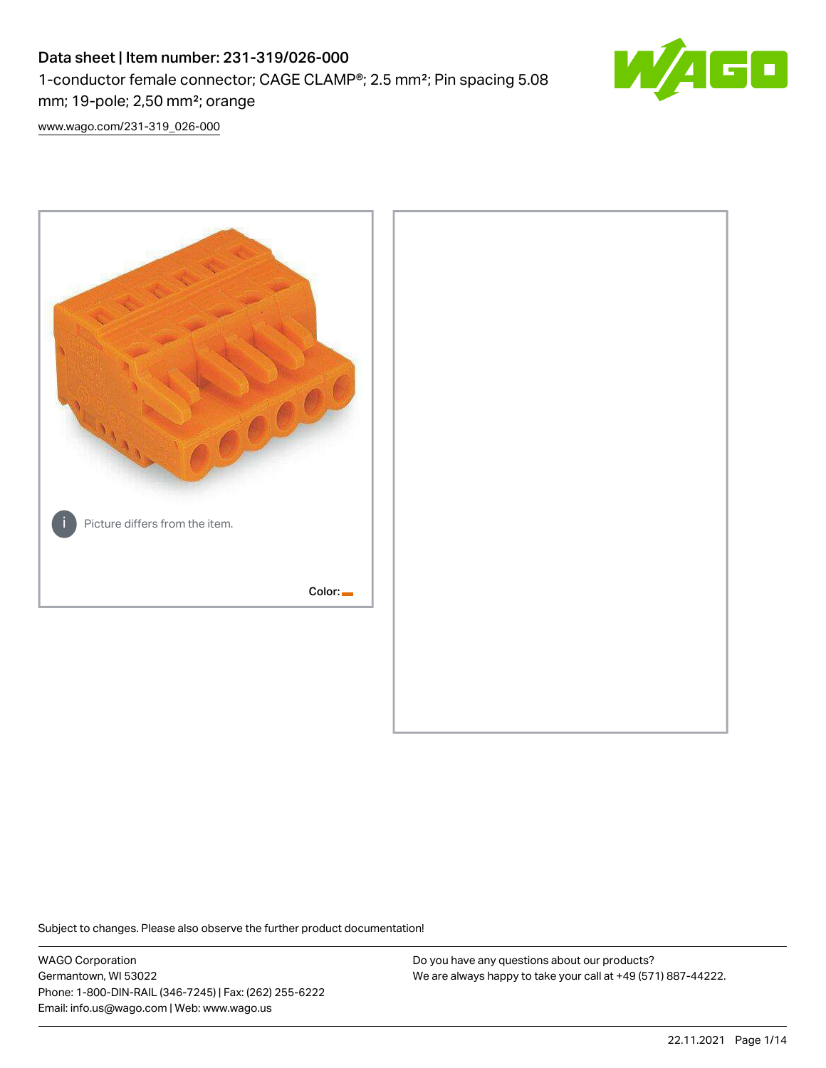# Data sheet | Item number: 231-319/026-000 1-conductor female connector; CAGE CLAMP®; 2.5 mm²; Pin spacing 5.08 mm; 19-pole; 2,50 mm²; orange



[www.wago.com/231-319\\_026-000](http://www.wago.com/231-319_026-000)



Subject to changes. Please also observe the further product documentation!

WAGO Corporation Germantown, WI 53022 Phone: 1-800-DIN-RAIL (346-7245) | Fax: (262) 255-6222 Email: info.us@wago.com | Web: www.wago.us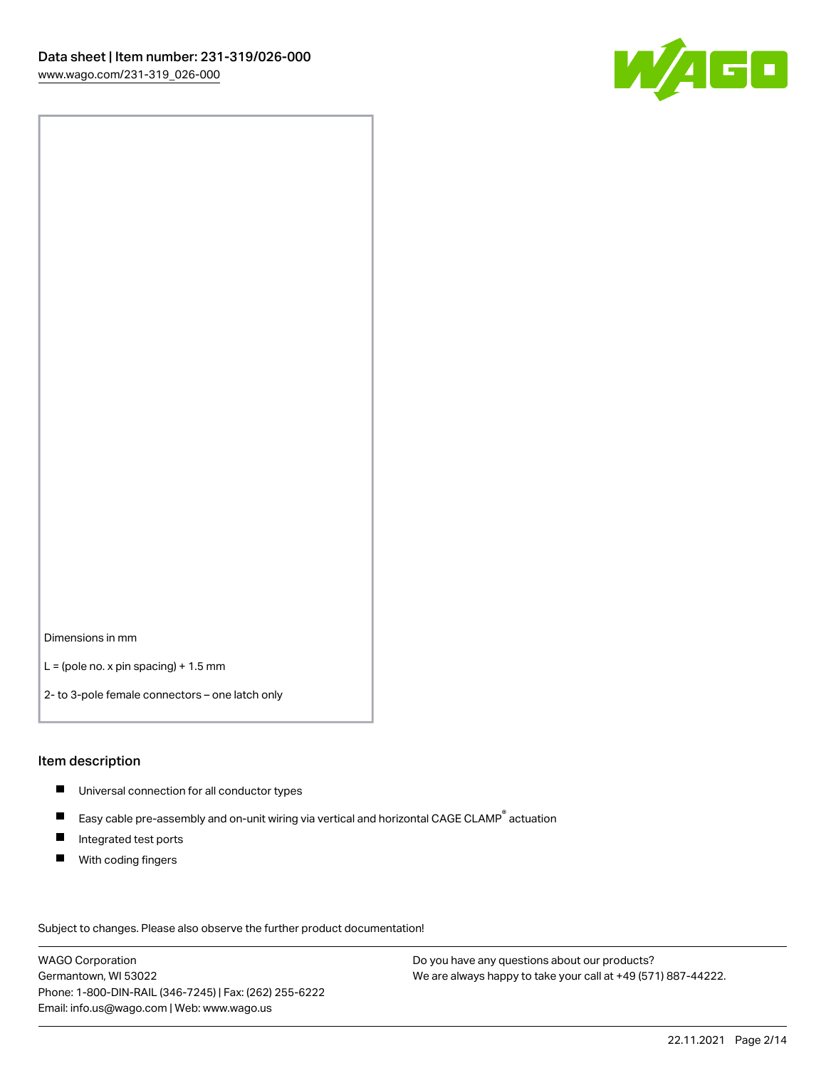

Dimensions in mm

 $L =$  (pole no. x pin spacing) + 1.5 mm

2- to 3-pole female connectors – one latch only

#### Item description

- **Universal connection for all conductor types**
- Easy cable pre-assembly and on-unit wiring via vertical and horizontal CAGE CLAMP<sup>®</sup> actuation  $\blacksquare$
- $\blacksquare$ Integrated test ports
- $\blacksquare$ With coding fingers

Subject to changes. Please also observe the further product documentation! Data

WAGO Corporation Germantown, WI 53022 Phone: 1-800-DIN-RAIL (346-7245) | Fax: (262) 255-6222 Email: info.us@wago.com | Web: www.wago.us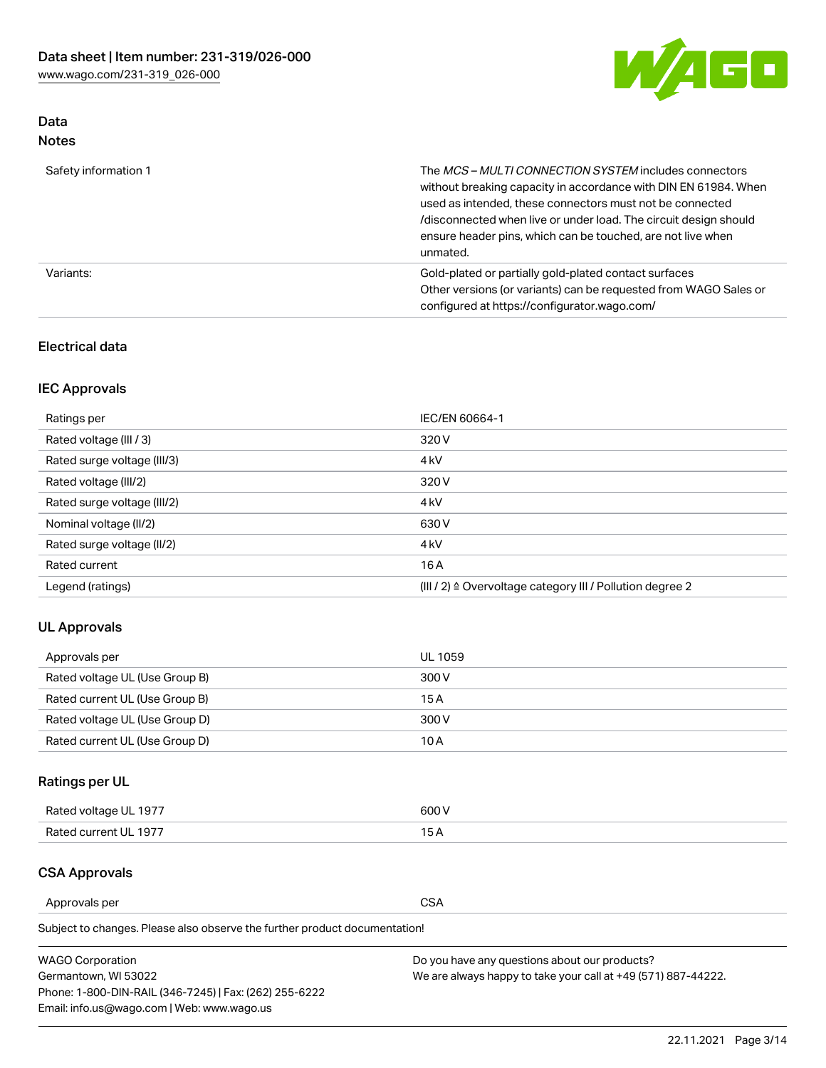

# Data Notes

| Safety information 1 | The MCS-MULTI CONNECTION SYSTEM includes connectors<br>without breaking capacity in accordance with DIN EN 61984. When<br>used as intended, these connectors must not be connected<br>/disconnected when live or under load. The circuit design should<br>ensure header pins, which can be touched, are not live when<br>unmated. |
|----------------------|-----------------------------------------------------------------------------------------------------------------------------------------------------------------------------------------------------------------------------------------------------------------------------------------------------------------------------------|
| Variants:            | Gold-plated or partially gold-plated contact surfaces<br>Other versions (or variants) can be requested from WAGO Sales or<br>configured at https://configurator.wago.com/                                                                                                                                                         |

### Electrical data

# IEC Approvals

| Ratings per                 | IEC/EN 60664-1                                                        |
|-----------------------------|-----------------------------------------------------------------------|
| Rated voltage (III / 3)     | 320 V                                                                 |
| Rated surge voltage (III/3) | 4 <sub>k</sub> V                                                      |
| Rated voltage (III/2)       | 320 V                                                                 |
| Rated surge voltage (III/2) | 4 <sub>k</sub> V                                                      |
| Nominal voltage (II/2)      | 630 V                                                                 |
| Rated surge voltage (II/2)  | 4 <sub>k</sub> V                                                      |
| Rated current               | 16A                                                                   |
| Legend (ratings)            | $(III / 2)$ $\triangle$ Overvoltage category III / Pollution degree 2 |

## UL Approvals

| Approvals per                  | UL 1059 |
|--------------------------------|---------|
| Rated voltage UL (Use Group B) | 300 V   |
| Rated current UL (Use Group B) | 15 A    |
| Rated voltage UL (Use Group D) | 300 V   |
| Rated current UL (Use Group D) | 10 A    |

# Ratings per UL

| Rated voltage UL 1977 | 600 V         |
|-----------------------|---------------|
| Rated current UL 1977 | $\sim$ $\sim$ |

### CSA Approvals

Approvals per CSA

Subject to changes. Please also observe the further product documentation!

| <b>WAGO Corporation</b>                                | Do you have any questions about our products?                 |
|--------------------------------------------------------|---------------------------------------------------------------|
| Germantown, WI 53022                                   | We are always happy to take your call at +49 (571) 887-44222. |
| Phone: 1-800-DIN-RAIL (346-7245)   Fax: (262) 255-6222 |                                                               |
| Email: info.us@wago.com   Web: www.wago.us             |                                                               |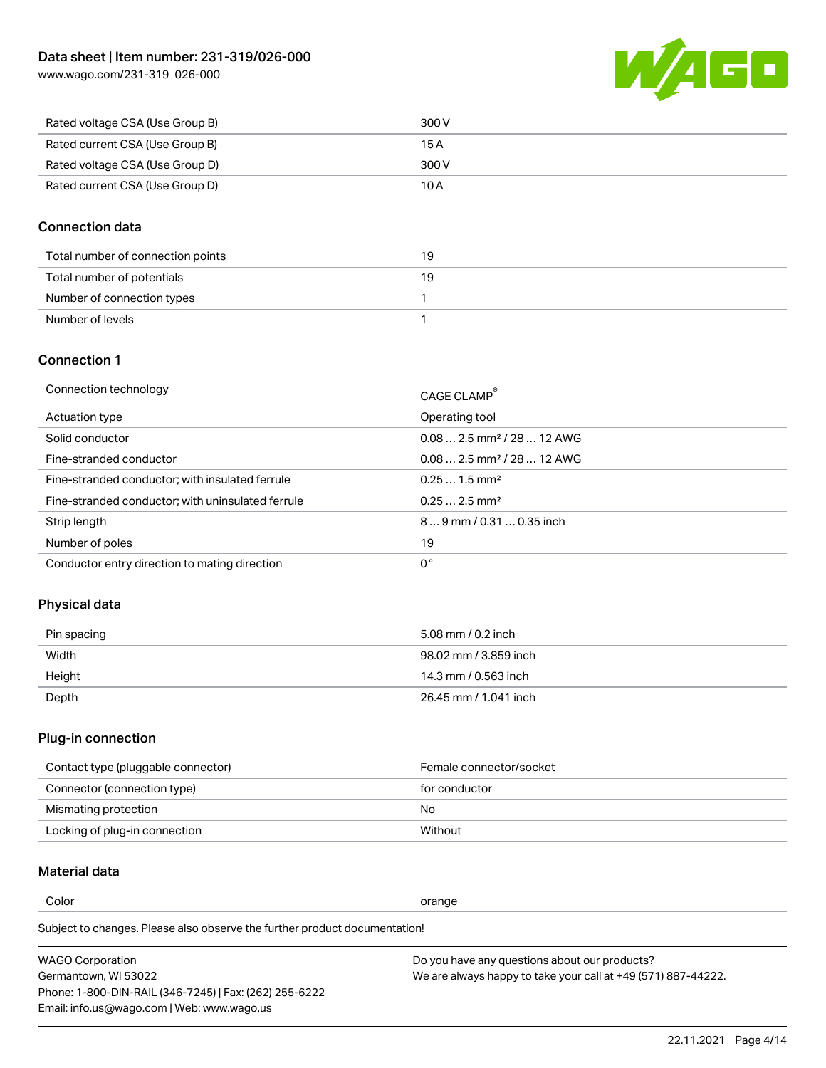[www.wago.com/231-319\\_026-000](http://www.wago.com/231-319_026-000)



| Rated voltage CSA (Use Group B) | 300 V |
|---------------------------------|-------|
| Rated current CSA (Use Group B) | 15 A  |
| Rated voltage CSA (Use Group D) | 300 V |
| Rated current CSA (Use Group D) | 10 A  |

### Connection data

| Total number of connection points | 19 |
|-----------------------------------|----|
| Total number of potentials        | 19 |
| Number of connection types        |    |
| Number of levels                  |    |

### Connection 1

| Connection technology                             | CAGE CLAMP®                             |
|---------------------------------------------------|-----------------------------------------|
| Actuation type                                    | Operating tool                          |
| Solid conductor                                   | $0.082.5$ mm <sup>2</sup> / 28  12 AWG  |
| Fine-stranded conductor                           | $0.08$ 2.5 mm <sup>2</sup> / 28  12 AWG |
| Fine-stranded conductor; with insulated ferrule   | $0.251.5$ mm <sup>2</sup>               |
| Fine-stranded conductor; with uninsulated ferrule | $0.252.5$ mm <sup>2</sup>               |
| Strip length                                      | $89$ mm $/ 0.310.35$ inch               |
| Number of poles                                   | 19                                      |
| Conductor entry direction to mating direction     | 0°                                      |

# Physical data

| Pin spacing | 5.08 mm / 0.2 inch    |
|-------------|-----------------------|
| Width       | 98.02 mm / 3.859 inch |
| Height      | 14.3 mm / 0.563 inch  |
| Depth       | 26.45 mm / 1.041 inch |

# Plug-in connection

| Contact type (pluggable connector) | Female connector/socket |
|------------------------------------|-------------------------|
| Connector (connection type)        | for conductor           |
| Mismating protection               | No                      |
| Locking of plug-in connection      | Without                 |

# Material data

Color contracts and contracts of the contracts of the contracts of the contracts of the contracts of the contracts of the contracts of the contracts of the contracts of the contracts of the contracts of the contracts of th

Subject to changes. Please also observe the further product documentation! Material group I

| <b>WAGO Corporation</b>                                | Do you have any questions about our products?                 |
|--------------------------------------------------------|---------------------------------------------------------------|
| Germantown, WI 53022                                   | We are always happy to take your call at +49 (571) 887-44222. |
| Phone: 1-800-DIN-RAIL (346-7245)   Fax: (262) 255-6222 |                                                               |
| Email: info.us@wago.com   Web: www.wago.us             |                                                               |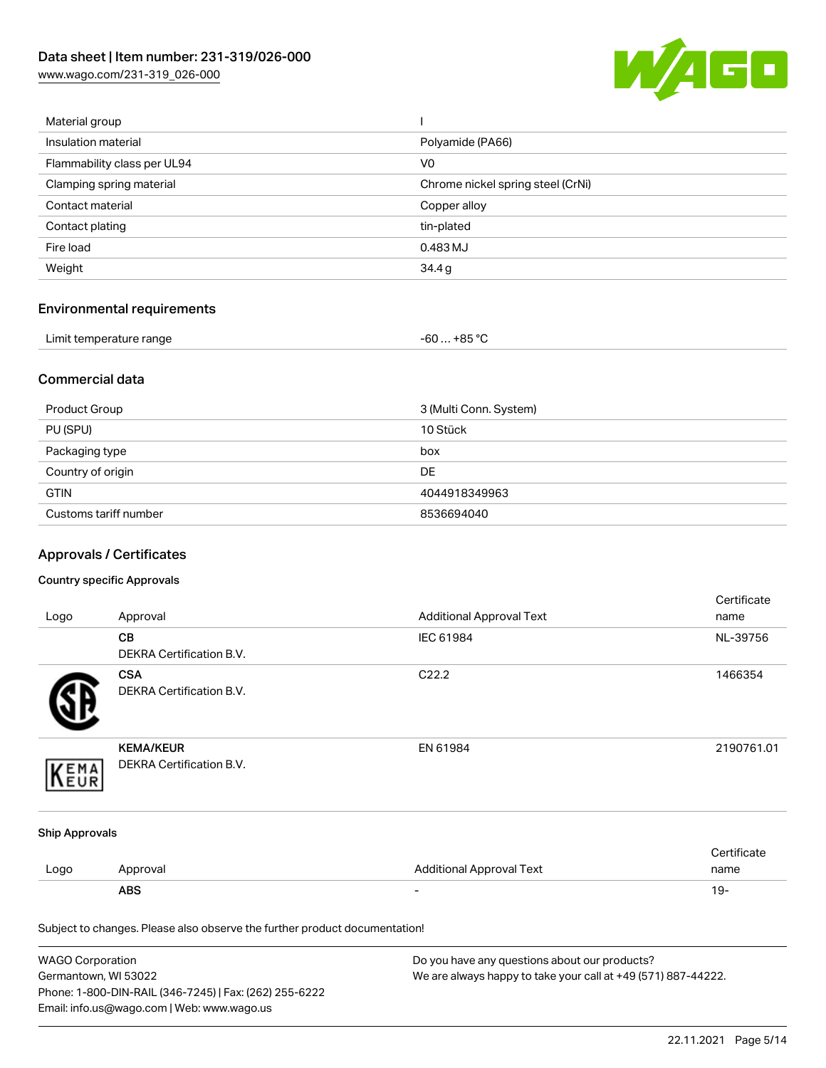[www.wago.com/231-319\\_026-000](http://www.wago.com/231-319_026-000)



| Material group              |                                   |
|-----------------------------|-----------------------------------|
| Insulation material         | Polyamide (PA66)                  |
| Flammability class per UL94 | V <sub>0</sub>                    |
| Clamping spring material    | Chrome nickel spring steel (CrNi) |
| Contact material            | Copper alloy                      |
| Contact plating             | tin-plated                        |
| Fire load                   | 0.483 MJ                          |
| Weight                      | 34.4g                             |
|                             |                                   |

# Environmental requirements

| Limit temperature range | $-60+85 °C$ |
|-------------------------|-------------|
|-------------------------|-------------|

### Commercial data

| Product Group         | 3 (Multi Conn. System) |  |  |
|-----------------------|------------------------|--|--|
| PU (SPU)              | 10 Stück               |  |  |
| Packaging type        | box                    |  |  |
| Country of origin     | <b>DE</b>              |  |  |
| <b>GTIN</b>           | 4044918349963          |  |  |
| Customs tariff number | 8536694040             |  |  |

# Approvals / Certificates

#### Country specific Approvals

| Logo                  | Approval                                                                   | <b>Additional Approval Text</b> | Certificate<br>name |
|-----------------------|----------------------------------------------------------------------------|---------------------------------|---------------------|
|                       | CВ<br>DEKRA Certification B.V.                                             | IEC 61984                       | NL-39756            |
|                       | <b>CSA</b><br><b>DEKRA Certification B.V.</b>                              | C22.2                           | 1466354             |
| EMA                   | <b>KEMA/KEUR</b><br>DEKRA Certification B.V.                               | EN 61984                        | 2190761.01          |
| <b>Ship Approvals</b> |                                                                            |                                 |                     |
| Logo                  | Approval                                                                   | <b>Additional Approval Text</b> | Certificate<br>name |
|                       | <b>ABS</b>                                                                 |                                 | $19 -$              |
|                       | Subject to changes. Please also observe the further product documentation! |                                 |                     |

| <b>WAGO Corporation</b>                                | Do you have any questions about our products?                 |  |  |
|--------------------------------------------------------|---------------------------------------------------------------|--|--|
| Germantown, WI 53022                                   | We are always happy to take your call at +49 (571) 887-44222. |  |  |
| Phone: 1-800-DIN-RAIL (346-7245)   Fax: (262) 255-6222 |                                                               |  |  |
| Email: info.us@wago.com   Web: www.wago.us             |                                                               |  |  |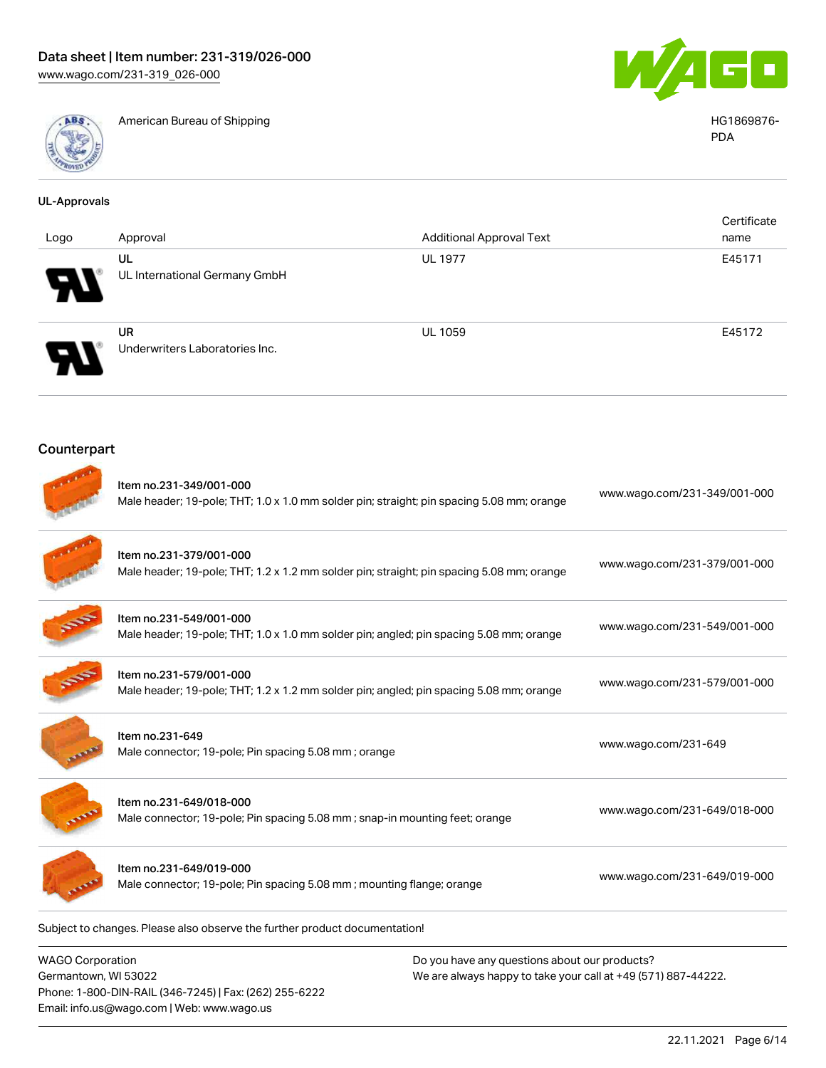Email: info.us@wago.com | Web: www.wago.us



American Bureau of Shipping **HG1869876-** American Bureau of Shipping **HG1869876-**



PDA

| <b>UL-Approvals</b>                                                                                       |                                                                                                                      |                                                                                                                |                              |  |
|-----------------------------------------------------------------------------------------------------------|----------------------------------------------------------------------------------------------------------------------|----------------------------------------------------------------------------------------------------------------|------------------------------|--|
| Logo                                                                                                      | Approval                                                                                                             | <b>Additional Approval Text</b>                                                                                | Certificate<br>name          |  |
|                                                                                                           | UL<br>UL International Germany GmbH                                                                                  | <b>UL 1977</b>                                                                                                 | E45171                       |  |
|                                                                                                           | <b>UR</b><br>Underwriters Laboratories Inc.                                                                          | <b>UL 1059</b>                                                                                                 | E45172                       |  |
| Counterpart                                                                                               |                                                                                                                      |                                                                                                                |                              |  |
|                                                                                                           | Item no.231-349/001-000<br>Male header; 19-pole; THT; 1.0 x 1.0 mm solder pin; straight; pin spacing 5.08 mm; orange |                                                                                                                | www.wago.com/231-349/001-000 |  |
|                                                                                                           | Item no.231-379/001-000                                                                                              | Male header; 19-pole; THT; 1.2 x 1.2 mm solder pin; straight; pin spacing 5.08 mm; orange                      |                              |  |
|                                                                                                           | Item no.231-549/001-000                                                                                              | Male header; 19-pole; THT; 1.0 x 1.0 mm solder pin; angled; pin spacing 5.08 mm; orange                        |                              |  |
|                                                                                                           | Item no.231-579/001-000<br>Male header; 19-pole; THT; 1.2 x 1.2 mm solder pin; angled; pin spacing 5.08 mm; orange   |                                                                                                                | www.wago.com/231-579/001-000 |  |
|                                                                                                           | Item no.231-649<br>Male connector; 19-pole; Pin spacing 5.08 mm; orange                                              |                                                                                                                | www.wago.com/231-649         |  |
|                                                                                                           | Item no.231-649/018-000<br>Male connector; 19-pole; Pin spacing 5.08 mm ; snap-in mounting feet; orange              |                                                                                                                | www.wago.com/231-649/018-000 |  |
|                                                                                                           | Item no.231-649/019-000<br>Male connector; 19-pole; Pin spacing 5.08 mm; mounting flange; orange                     |                                                                                                                | www.wago.com/231-649/019-000 |  |
|                                                                                                           | Subject to changes. Please also observe the further product documentation!                                           |                                                                                                                |                              |  |
| <b>WAGO Corporation</b><br>Germantown, WI 53022<br>Phone: 1-800-DIN-RAIL (346-7245)   Fax: (262) 255-6222 |                                                                                                                      | Do you have any questions about our products?<br>We are always happy to take your call at +49 (571) 887-44222. |                              |  |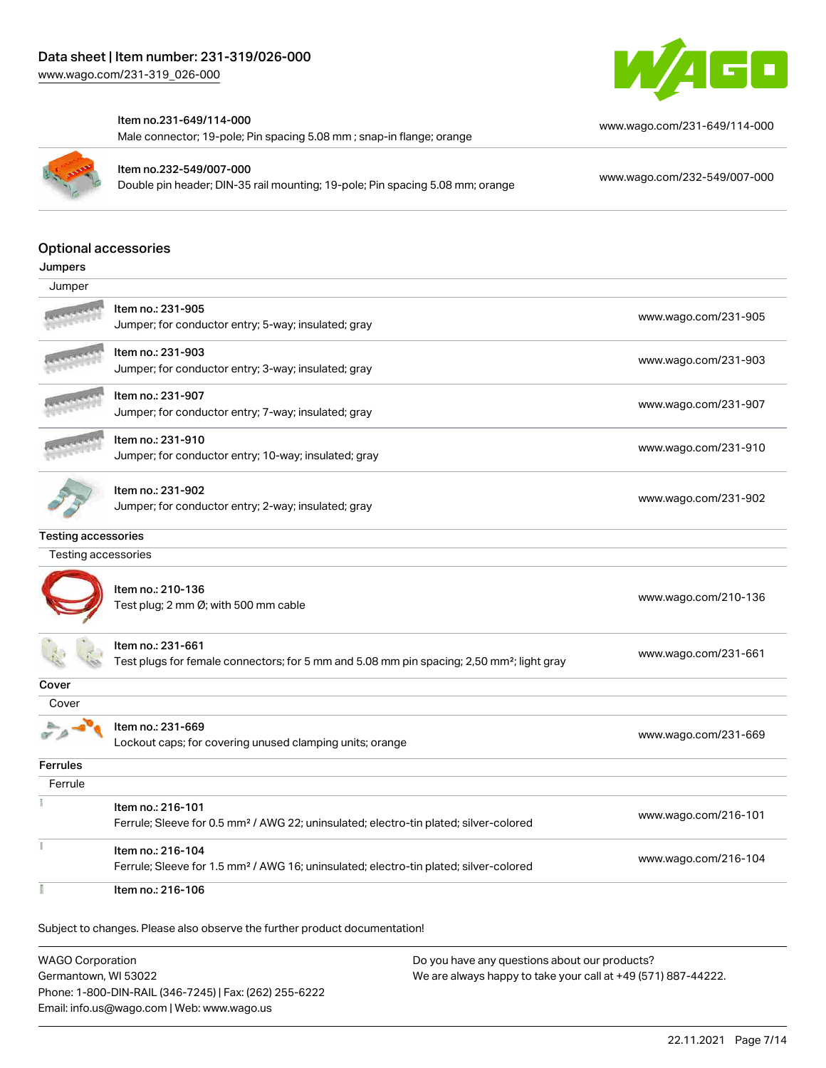

#### Item no.231-649/114-000

Male connector; 19-pole; Pin spacing 5.08 mm ; snap-in flange; orange



Item no.232-549/007-000

Double pin header; DIN-35 rail mounting; 19-pole; Pin spacing 5.08 mm; orange [www.wago.com/232-549/007-000](https://www.wago.com/232-549/007-000)

[www.wago.com/231-649/114-000](https://www.wago.com/231-649/114-000)

#### Optional accessories

| Jumpers |
|---------|
|---------|

| Jumper                     |                                                                                                                            |                      |
|----------------------------|----------------------------------------------------------------------------------------------------------------------------|----------------------|
|                            | Item no.: 231-905<br>Jumper; for conductor entry; 5-way; insulated; gray                                                   | www.wago.com/231-905 |
|                            | Item no.: 231-903<br>Jumper; for conductor entry; 3-way; insulated; gray                                                   | www.wago.com/231-903 |
|                            | Item no.: 231-907<br>Jumper; for conductor entry; 7-way; insulated; gray                                                   | www.wago.com/231-907 |
|                            | Item no.: 231-910<br>Jumper; for conductor entry; 10-way; insulated; gray                                                  | www.wago.com/231-910 |
|                            | Item no.: 231-902<br>Jumper; for conductor entry; 2-way; insulated; gray                                                   | www.wago.com/231-902 |
| <b>Testing accessories</b> |                                                                                                                            |                      |
| Testing accessories        |                                                                                                                            |                      |
|                            | Item no.: 210-136<br>Test plug; 2 mm Ø; with 500 mm cable                                                                  | www.wago.com/210-136 |
|                            | Item no.: 231-661<br>Test plugs for female connectors; for 5 mm and 5.08 mm pin spacing; 2,50 mm <sup>2</sup> ; light gray | www.wago.com/231-661 |
| Cover                      |                                                                                                                            |                      |
| Cover                      |                                                                                                                            |                      |
|                            | Item no.: 231-669<br>Lockout caps; for covering unused clamping units; orange                                              | www.wago.com/231-669 |
| <b>Ferrules</b>            |                                                                                                                            |                      |
| Ferrule                    |                                                                                                                            |                      |
|                            | Item no.: 216-101<br>Ferrule; Sleeve for 0.5 mm <sup>2</sup> / AWG 22; uninsulated; electro-tin plated; silver-colored     | www.wago.com/216-101 |
|                            | Item no.: 216-104<br>Ferrule; Sleeve for 1.5 mm <sup>2</sup> / AWG 16; uninsulated; electro-tin plated; silver-colored     | www.wago.com/216-104 |
|                            | Item no.: 216-106                                                                                                          |                      |

Subject to changes. Please also observe the further product documentation!

WAGO Corporation Germantown, WI 53022 Phone: 1-800-DIN-RAIL (346-7245) | Fax: (262) 255-6222 Email: info.us@wago.com | Web: www.wago.us Do you have any questions about our products? We are always happy to take your call at +49 (571) 887-44222.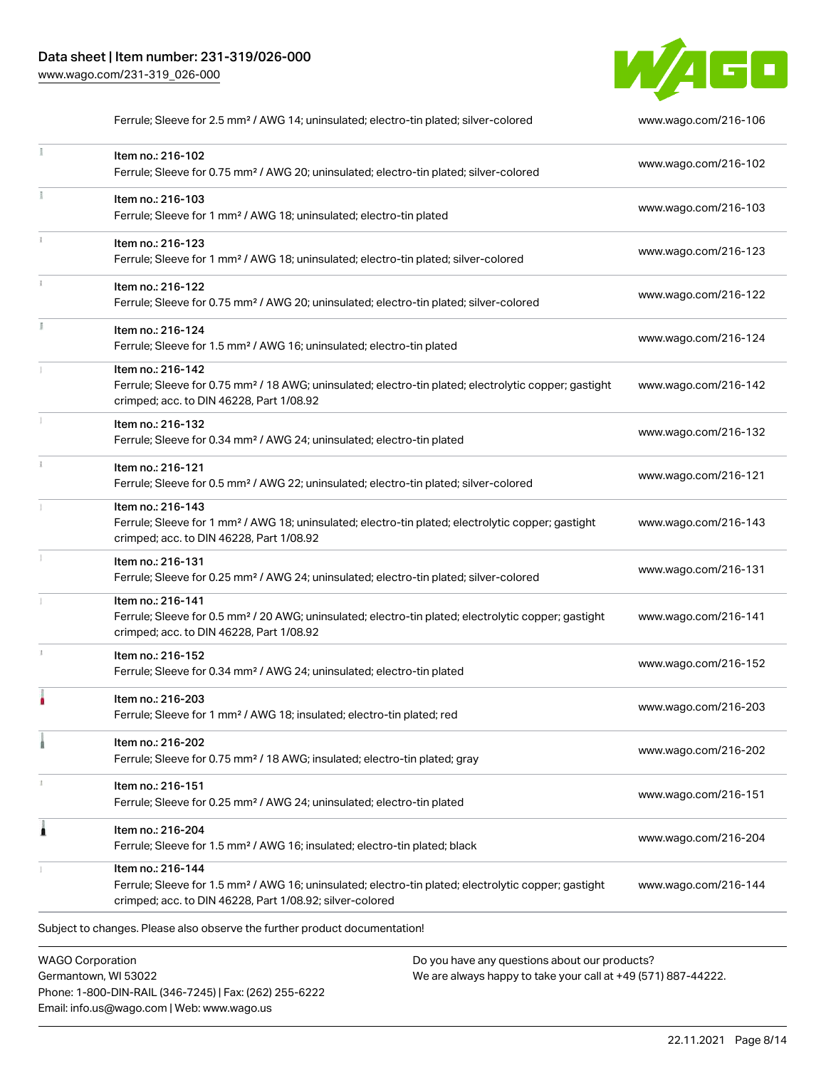

Ferrule; Sleeve for 2.5 mm² / AWG 14; uninsulated; electro-tin plated; silver-colored [www.wago.com/216-106](http://www.wago.com/216-106)  $\frac{1}{2}$ Item no.: 216-102 Ferrule; Sleeve for 0.75 mm² / AWG 20; uninsulated; electro-tin plated; silver-colored [www.wago.com/216-102](http://www.wago.com/216-102) Item no.: 216-103 Ferrule; Sleeve for 1 mm² / AWG 18; uninsulated; electro-tin plated [www.wago.com/216-103](http://www.wago.com/216-103) Item no.: 216-123 Ferrule; Sleeve for 1 mm² / AWG 18; uninsulated; electro-tin plated; silver-colored [www.wago.com/216-123](http://www.wago.com/216-123) Item no.: 216-122 Ferrule; Sleeve for 0.75 mm² / AWG 20; uninsulated; electro-tin plated; silver-colored [www.wago.com/216-122](http://www.wago.com/216-122) Item no.: 216-124 Ferrule; Sleeve for 1.5 mm² / AWG 16; uninsulated; electro-tin plated [www.wago.com/216-124](http://www.wago.com/216-124) Item no.: 216-142 Ferrule; Sleeve for 0.75 mm² / 18 AWG; uninsulated; electro-tin plated; electrolytic copper; gastight [www.wago.com/216-142](http://www.wago.com/216-142) crimped; acc. to DIN 46228, Part 1/08.92 Item no.: 216-132 Ferrule; Sleeve for 0.34 mm² / AWG 24; uninsulated; electro-tin plated [www.wago.com/216-132](http://www.wago.com/216-132) Item no.: 216-121 Ferrule; Sleeve for 0.5 mm² / AWG 22; uninsulated; electro-tin plated; silver-colored [www.wago.com/216-121](http://www.wago.com/216-121) Item no.: 216-143 Ferrule; Sleeve for 1 mm² / AWG 18; uninsulated; electro-tin plated; electrolytic copper; gastight [www.wago.com/216-143](http://www.wago.com/216-143) crimped; acc. to DIN 46228, Part 1/08.92 Item no.: 216-131 Ferrule; Sleeve for 0.25 mm² / AWG 24; uninsulated; electro-tin plated; silver-colored [www.wago.com/216-131](http://www.wago.com/216-131) Item no.: 216-141 Ferrule; Sleeve for 0.5 mm² / 20 AWG; uninsulated; electro-tin plated; electrolytic copper; gastight [www.wago.com/216-141](http://www.wago.com/216-141) crimped; acc. to DIN 46228, Part 1/08.92 Item no.: 216-152 Ferrule; Sleeve for 0.34 mm² / AWG 24; uninsulated; electro-tin plated [www.wago.com/216-152](http://www.wago.com/216-152) Item no.: 216-203 Ferrule; Sleeve for 1 mm² / AWG 18; insulated; electro-tin plated; red [www.wago.com/216-203](http://www.wago.com/216-203) Item no.: 216-202 Ferrule; Sleeve for 0.75 mm² / 18 AWG; insulated; electro-tin plated; gray [www.wago.com/216-202](http://www.wago.com/216-202) Item no.: 216-151 Ferrule; Sleeve for 0.25 mm² / AWG 24; uninsulated; electro-tin plated [www.wago.com/216-151](http://www.wago.com/216-151) Item no.: 216-204 Ferrule; Sleeve for 1.5 mm² / AWG 16; insulated; electro-tin plated; black [www.wago.com/216-204](http://www.wago.com/216-204) Item no.: 216-144 Ferrule; Sleeve for 1.5 mm² / AWG 16; uninsulated; electro-tin plated; electrolytic copper; gastight [www.wago.com/216-144](http://www.wago.com/216-144) crimped; acc. to DIN 46228, Part 1/08.92; silver-colored Subject to changes. Please also observe the further product documentation!

WAGO Corporation Germantown, WI 53022 Phone: 1-800-DIN-RAIL (346-7245) | Fax: (262) 255-6222 Email: info.us@wago.com | Web: www.wago.us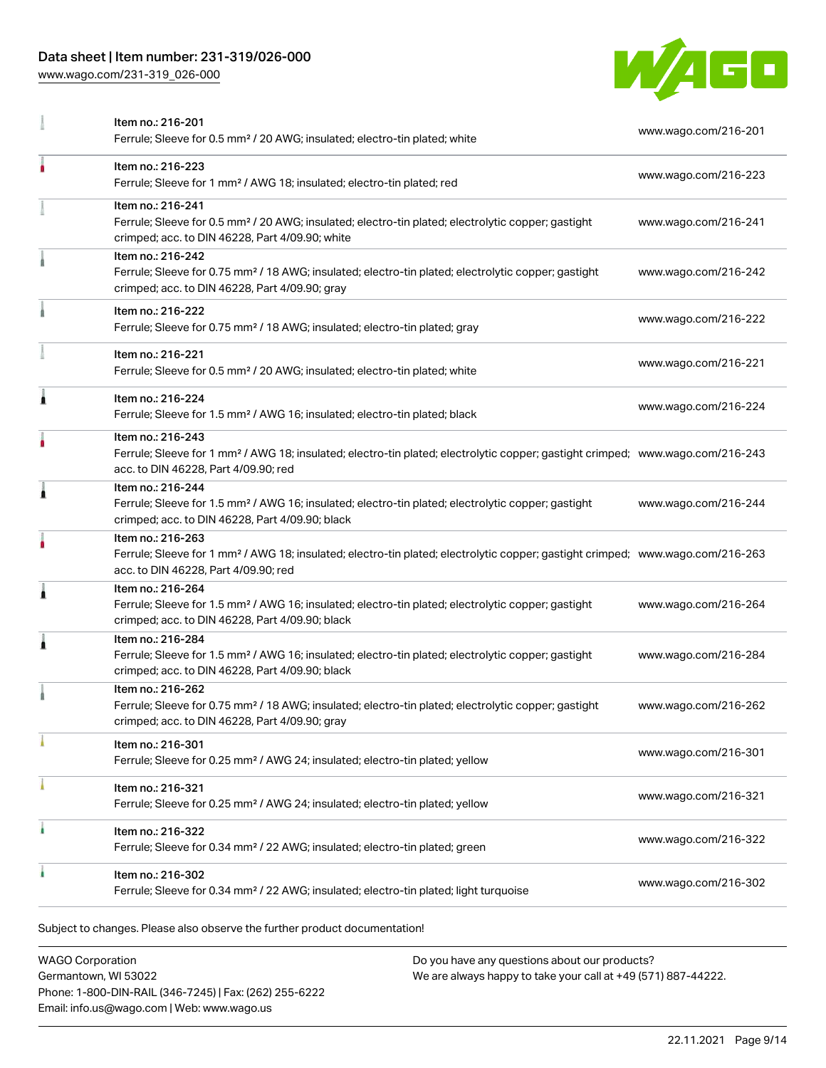# Data sheet | Item number: 231-319/026-000

[www.wago.com/231-319\\_026-000](http://www.wago.com/231-319_026-000)



|   | Item no.: 216-201<br>Ferrule; Sleeve for 0.5 mm <sup>2</sup> / 20 AWG; insulated; electro-tin plated; white                                                                                             | www.wago.com/216-201 |
|---|---------------------------------------------------------------------------------------------------------------------------------------------------------------------------------------------------------|----------------------|
| ۸ | Item no.: 216-223<br>Ferrule; Sleeve for 1 mm <sup>2</sup> / AWG 18; insulated; electro-tin plated; red                                                                                                 | www.wago.com/216-223 |
|   | Item no.: 216-241<br>Ferrule; Sleeve for 0.5 mm <sup>2</sup> / 20 AWG; insulated; electro-tin plated; electrolytic copper; gastight<br>crimped; acc. to DIN 46228, Part 4/09.90; white                  | www.wago.com/216-241 |
|   | Item no.: 216-242<br>Ferrule; Sleeve for 0.75 mm <sup>2</sup> / 18 AWG; insulated; electro-tin plated; electrolytic copper; gastight<br>crimped; acc. to DIN 46228, Part 4/09.90; gray                  | www.wago.com/216-242 |
|   | Item no.: 216-222<br>Ferrule; Sleeve for 0.75 mm <sup>2</sup> / 18 AWG; insulated; electro-tin plated; gray                                                                                             | www.wago.com/216-222 |
|   | Item no.: 216-221<br>Ferrule; Sleeve for 0.5 mm <sup>2</sup> / 20 AWG; insulated; electro-tin plated; white                                                                                             | www.wago.com/216-221 |
| 1 | Item no.: 216-224<br>Ferrule; Sleeve for 1.5 mm <sup>2</sup> / AWG 16; insulated; electro-tin plated; black                                                                                             | www.wago.com/216-224 |
| ٠ | Item no.: 216-243<br>Ferrule; Sleeve for 1 mm <sup>2</sup> / AWG 18; insulated; electro-tin plated; electrolytic copper; gastight crimped; www.wago.com/216-243<br>acc. to DIN 46228, Part 4/09.90; red |                      |
| Ă | Item no.: 216-244<br>Ferrule; Sleeve for 1.5 mm <sup>2</sup> / AWG 16; insulated; electro-tin plated; electrolytic copper; gastight<br>crimped; acc. to DIN 46228, Part 4/09.90; black                  | www.wago.com/216-244 |
|   | Item no.: 216-263<br>Ferrule; Sleeve for 1 mm <sup>2</sup> / AWG 18; insulated; electro-tin plated; electrolytic copper; gastight crimped; www.wago.com/216-263<br>acc. to DIN 46228, Part 4/09.90; red |                      |
| 1 | Item no.: 216-264<br>Ferrule; Sleeve for 1.5 mm <sup>2</sup> / AWG 16; insulated; electro-tin plated; electrolytic copper; gastight<br>crimped; acc. to DIN 46228, Part 4/09.90; black                  | www.wago.com/216-264 |
| 1 | Item no.: 216-284<br>Ferrule; Sleeve for 1.5 mm <sup>2</sup> / AWG 16; insulated; electro-tin plated; electrolytic copper; gastight<br>crimped; acc. to DIN 46228, Part 4/09.90; black                  | www.wago.com/216-284 |
|   | Item no.: 216-262<br>Ferrule; Sleeve for 0.75 mm <sup>2</sup> / 18 AWG; insulated; electro-tin plated; electrolytic copper; gastight<br>crimped; acc. to DIN 46228, Part 4/09.90; gray                  | www.wago.com/216-262 |
|   | Item no.: 216-301<br>Ferrule; Sleeve for 0.25 mm <sup>2</sup> / AWG 24; insulated; electro-tin plated; yellow                                                                                           | www.wago.com/216-301 |
|   | Item no.: 216-321<br>Ferrule; Sleeve for 0.25 mm <sup>2</sup> / AWG 24; insulated; electro-tin plated; yellow                                                                                           | www.wago.com/216-321 |
| ٠ | Item no.: 216-322<br>Ferrule; Sleeve for 0.34 mm <sup>2</sup> / 22 AWG; insulated; electro-tin plated; green                                                                                            | www.wago.com/216-322 |
|   | Item no.: 216-302<br>Ferrule; Sleeve for 0.34 mm <sup>2</sup> / 22 AWG; insulated; electro-tin plated; light turquoise                                                                                  | www.wago.com/216-302 |

| <b>WAGO Corporation</b>                                |
|--------------------------------------------------------|
| Germantown, WI 53022                                   |
| Phone: 1-800-DIN-RAIL (346-7245)   Fax: (262) 255-6222 |
| Email: info.us@wago.com   Web: www.wago.us             |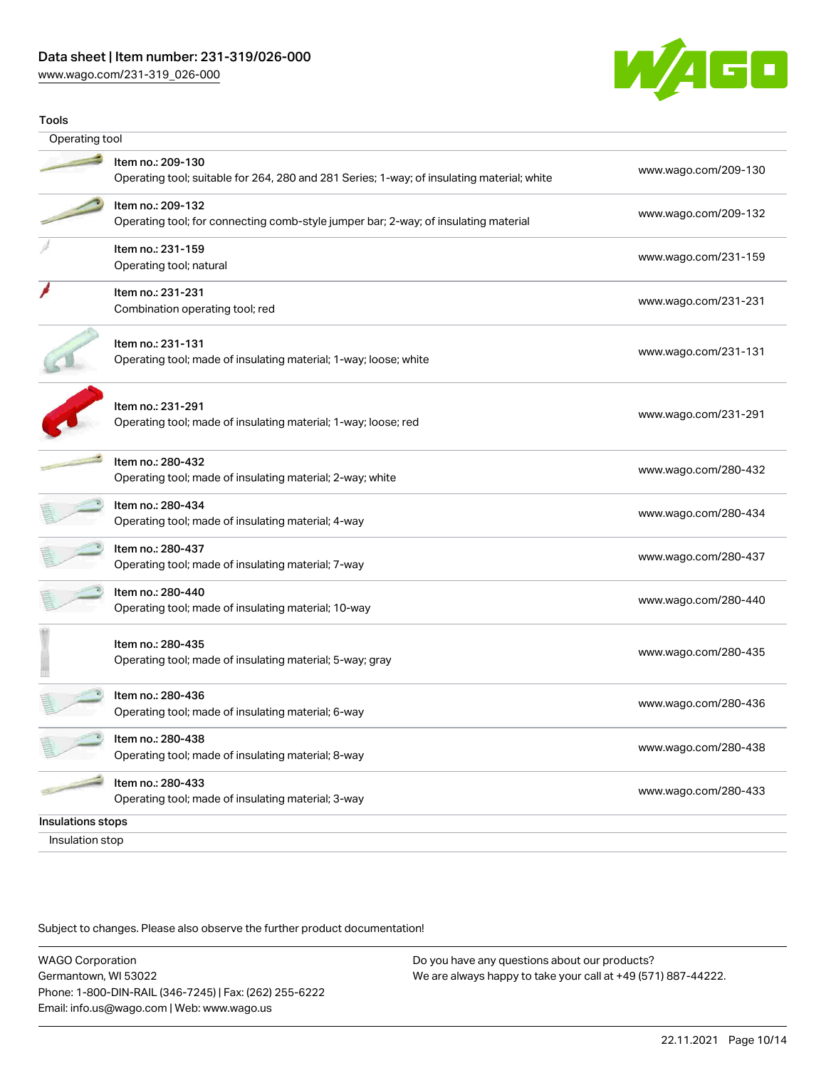# Data sheet | Item number: 231-319/026-000

[www.wago.com/231-319\\_026-000](http://www.wago.com/231-319_026-000)



| Operating tool<br>Item no.: 209-130<br>Operating tool; suitable for 264, 280 and 281 Series; 1-way; of insulating material; white<br>Item no.: 209-132<br>Operating tool; for connecting comb-style jumper bar; 2-way; of insulating material<br>Item no.: 231-159<br>Operating tool; natural<br>Item no.: 231-231<br>Combination operating tool; red<br>Item no.: 231-131<br>Operating tool; made of insulating material; 1-way; loose; white<br>Item no.: 231-291<br>Operating tool; made of insulating material; 1-way; loose; red | www.wago.com/209-130<br>www.wago.com/209-132<br>www.wago.com/231-159<br>www.wago.com/231-231<br>www.wago.com/231-131 |
|---------------------------------------------------------------------------------------------------------------------------------------------------------------------------------------------------------------------------------------------------------------------------------------------------------------------------------------------------------------------------------------------------------------------------------------------------------------------------------------------------------------------------------------|----------------------------------------------------------------------------------------------------------------------|
|                                                                                                                                                                                                                                                                                                                                                                                                                                                                                                                                       |                                                                                                                      |
|                                                                                                                                                                                                                                                                                                                                                                                                                                                                                                                                       |                                                                                                                      |
|                                                                                                                                                                                                                                                                                                                                                                                                                                                                                                                                       |                                                                                                                      |
|                                                                                                                                                                                                                                                                                                                                                                                                                                                                                                                                       |                                                                                                                      |
|                                                                                                                                                                                                                                                                                                                                                                                                                                                                                                                                       |                                                                                                                      |
|                                                                                                                                                                                                                                                                                                                                                                                                                                                                                                                                       |                                                                                                                      |
|                                                                                                                                                                                                                                                                                                                                                                                                                                                                                                                                       | www.wago.com/231-291                                                                                                 |
| Item no.: 280-432<br>Operating tool; made of insulating material; 2-way; white                                                                                                                                                                                                                                                                                                                                                                                                                                                        | www.wago.com/280-432                                                                                                 |
| Item no.: 280-434<br>Operating tool; made of insulating material; 4-way                                                                                                                                                                                                                                                                                                                                                                                                                                                               | www.wago.com/280-434                                                                                                 |
| Item no.: 280-437<br>Operating tool; made of insulating material; 7-way                                                                                                                                                                                                                                                                                                                                                                                                                                                               | www.wago.com/280-437                                                                                                 |
| ltem no.: 280-440<br>Operating tool; made of insulating material; 10-way                                                                                                                                                                                                                                                                                                                                                                                                                                                              | www.wago.com/280-440                                                                                                 |
| Item no.: 280-435<br>Operating tool; made of insulating material; 5-way; gray                                                                                                                                                                                                                                                                                                                                                                                                                                                         | www.wago.com/280-435                                                                                                 |
| Item no.: 280-436<br>Operating tool; made of insulating material; 6-way                                                                                                                                                                                                                                                                                                                                                                                                                                                               | www.wago.com/280-436                                                                                                 |
| Item no.: 280-438<br>Operating tool; made of insulating material; 8-way                                                                                                                                                                                                                                                                                                                                                                                                                                                               | www.wago.com/280-438                                                                                                 |
| Item no.: 280-433<br>Operating tool; made of insulating material; 3-way                                                                                                                                                                                                                                                                                                                                                                                                                                                               | www.wago.com/280-433                                                                                                 |
| Insulations stops<br>Insulation stop                                                                                                                                                                                                                                                                                                                                                                                                                                                                                                  |                                                                                                                      |

Subject to changes. Please also observe the further product documentation!

WAGO Corporation Germantown, WI 53022 Phone: 1-800-DIN-RAIL (346-7245) | Fax: (262) 255-6222 Email: info.us@wago.com | Web: www.wago.us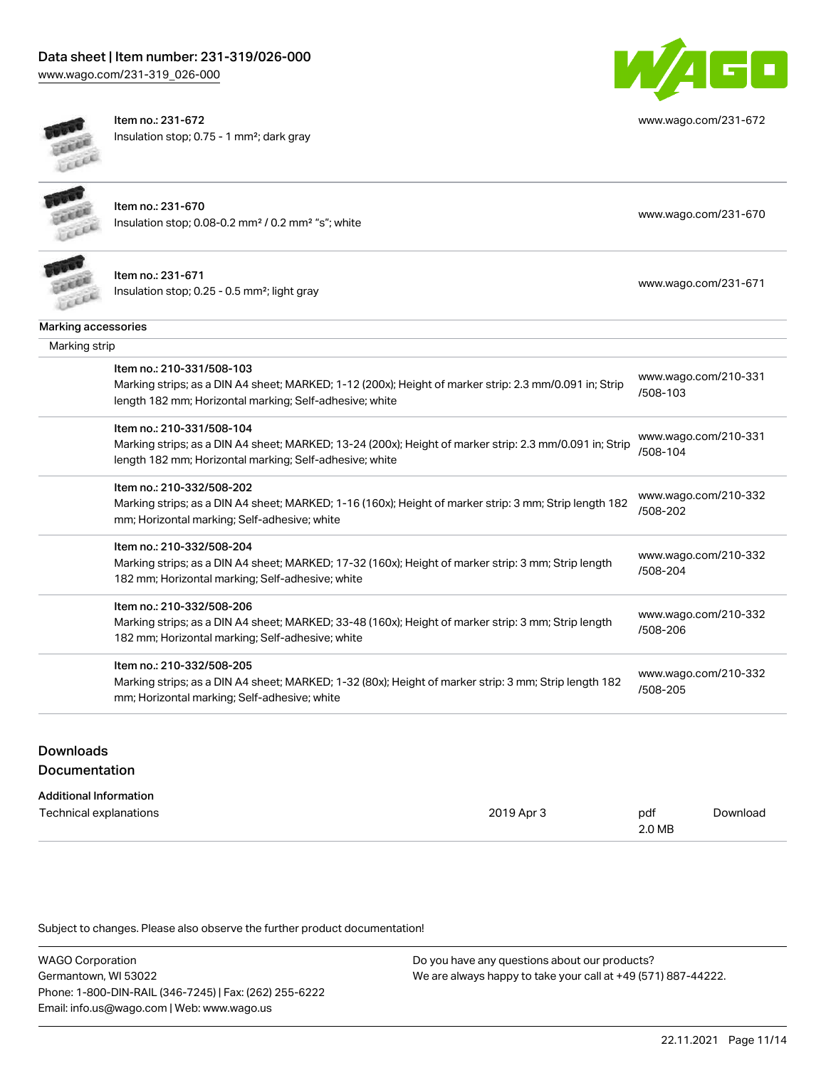# Data sheet | Item number: 231-319/026-000

[www.wago.com/231-319\\_026-000](http://www.wago.com/231-319_026-000)



Item no.: 231-672 Insulation stop; 0.75 - 1 mm²; dark gray



[www.wago.com/231-672](http://www.wago.com/231-672)

Item no.: 231-670 Insulation stop; 0.08-0.2 mm² / 0.2 mm² "s"; white [www.wago.com/231-670](http://www.wago.com/231-670) www.wago.com/231-670



Item no.: 231-671 Insulation stop; 0.25 - 0.5 mm²; light gray [www.wago.com/231-671](http://www.wago.com/231-671)

| ww.wago.com/231-671 |  |
|---------------------|--|
|---------------------|--|

| Marking accessories |  |
|---------------------|--|
|---------------------|--|

| Marking accessories<br>Marking strip |                                                                                                                                                                                                 |                                  |  |  |  |
|--------------------------------------|-------------------------------------------------------------------------------------------------------------------------------------------------------------------------------------------------|----------------------------------|--|--|--|
|                                      |                                                                                                                                                                                                 |                                  |  |  |  |
|                                      | Item no.: 210-331/508-104<br>Marking strips; as a DIN A4 sheet; MARKED; 13-24 (200x); Height of marker strip: 2.3 mm/0.091 in; Strip<br>length 182 mm; Horizontal marking; Self-adhesive; white | www.wago.com/210-331<br>/508-104 |  |  |  |
|                                      | Item no.: 210-332/508-202<br>Marking strips; as a DIN A4 sheet; MARKED; 1-16 (160x); Height of marker strip: 3 mm; Strip length 182<br>mm; Horizontal marking; Self-adhesive; white             | www.wago.com/210-332<br>/508-202 |  |  |  |
|                                      | Item no.: 210-332/508-204<br>Marking strips; as a DIN A4 sheet; MARKED; 17-32 (160x); Height of marker strip: 3 mm; Strip length<br>182 mm; Horizontal marking; Self-adhesive; white            | www.wago.com/210-332<br>/508-204 |  |  |  |
|                                      | Item no.: 210-332/508-206<br>Marking strips; as a DIN A4 sheet; MARKED; 33-48 (160x); Height of marker strip: 3 mm; Strip length<br>182 mm; Horizontal marking; Self-adhesive; white            | www.wago.com/210-332<br>/508-206 |  |  |  |
|                                      | Item no.: 210-332/508-205<br>Marking strips; as a DIN A4 sheet; MARKED; 1-32 (80x); Height of marker strip: 3 mm; Strip length 182<br>mm; Horizontal marking; Self-adhesive; white              | www.wago.com/210-332<br>/508-205 |  |  |  |

# Downloads

#### **Documentation**

| <b>Additional Information</b> |            |        |          |
|-------------------------------|------------|--------|----------|
| Technical explanations        | 2019 Apr 3 | pdf    | Download |
|                               |            | 2.0 MB |          |

Subject to changes. Please also observe the further product documentation!

WAGO Corporation Germantown, WI 53022 Phone: 1-800-DIN-RAIL (346-7245) | Fax: (262) 255-6222 Email: info.us@wago.com | Web: www.wago.us Do you have any questions about our products? We are always happy to take your call at +49 (571) 887-44222.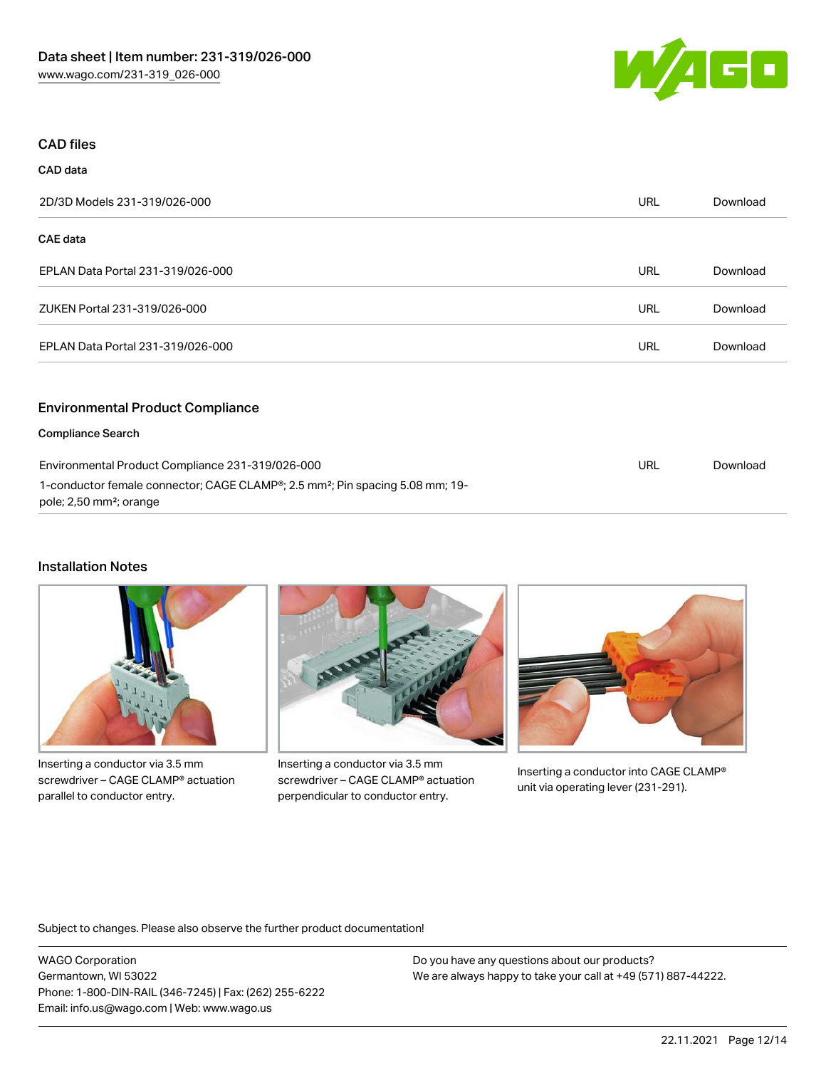

### CAD files

CAD data

| --------                                         |            |          |
|--------------------------------------------------|------------|----------|
| 2D/3D Models 231-319/026-000                     | <b>URL</b> | Download |
| <b>CAE data</b>                                  |            |          |
| EPLAN Data Portal 231-319/026-000                | <b>URL</b> | Download |
| ZUKEN Portal 231-319/026-000                     | <b>URL</b> | Download |
| EPLAN Data Portal 231-319/026-000                | <b>URL</b> | Download |
| <b>Environmental Product Compliance</b>          |            |          |
| <b>Compliance Search</b>                         |            |          |
| Environmental Product Compliance 231-319/026-000 | URL        | Download |

1-conductor female connector; CAGE CLAMP®; 2.5 mm²; Pin spacing 5.08 mm; 19 pole; 2,50 mm²; orange

### Installation Notes



Inserting a conductor via 3.5 mm screwdriver – CAGE CLAMP® actuation parallel to conductor entry.



Inserting a conductor via 3.5 mm screwdriver – CAGE CLAMP® actuation perpendicular to conductor entry.



Inserting a conductor into CAGE CLAMP® unit via operating lever (231-291).

Subject to changes. Please also observe the further product documentation!

WAGO Corporation Germantown, WI 53022 Phone: 1-800-DIN-RAIL (346-7245) | Fax: (262) 255-6222 Email: info.us@wago.com | Web: www.wago.us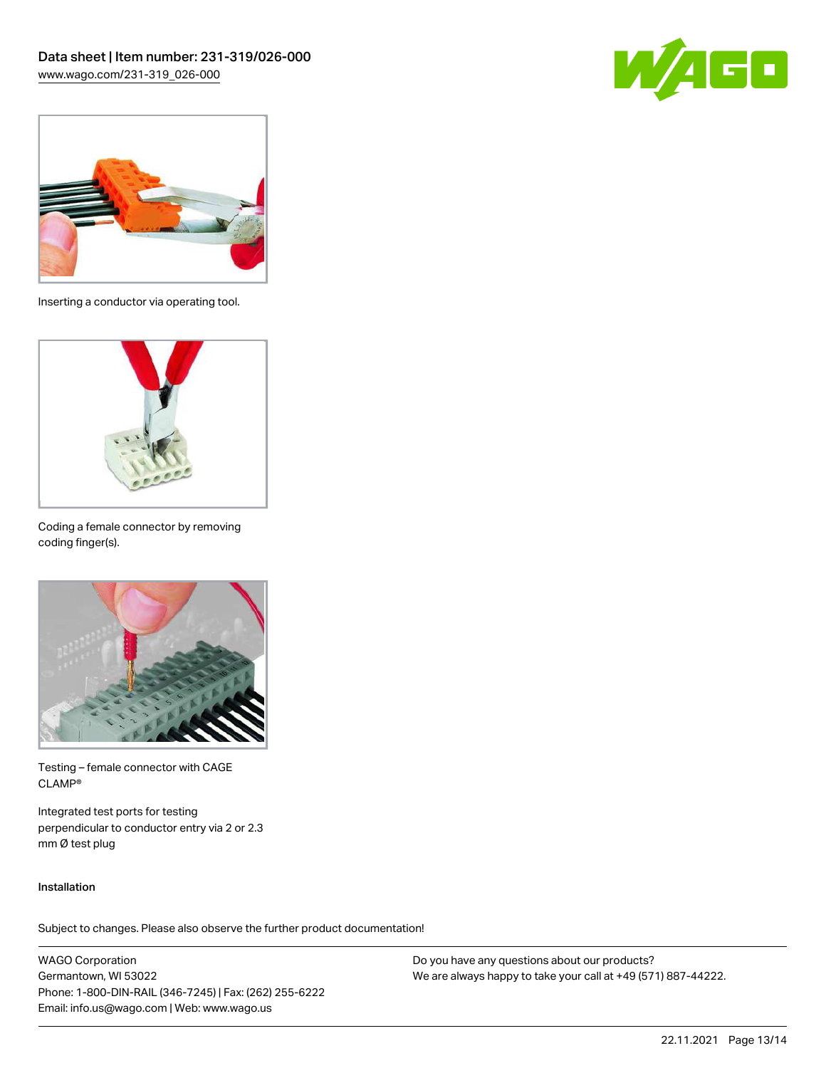



Inserting a conductor via operating tool.



Coding a female connector by removing coding finger(s).



Testing – female connector with CAGE CLAMP®

Integrated test ports for testing perpendicular to conductor entry via 2 or 2.3 mm Ø test plug

#### Installation

Subject to changes. Please also observe the further product documentation!

WAGO Corporation Germantown, WI 53022 Phone: 1-800-DIN-RAIL (346-7245) | Fax: (262) 255-6222 Email: info.us@wago.com | Web: www.wago.us